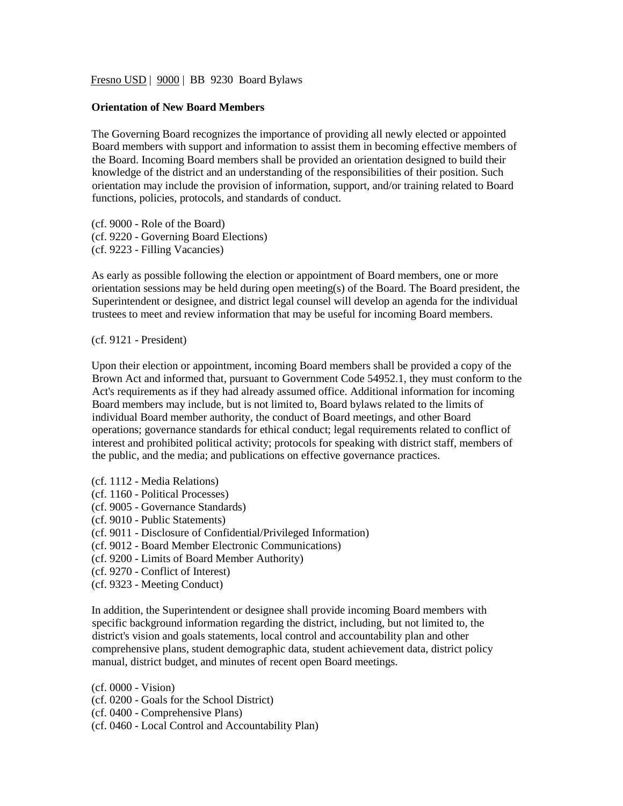Fresno USD | 9000 | BB 9230 Board Bylaws

## **Orientation of New Board Members**

The Governing Board recognizes the importance of providing all newly elected or appointed Board members with support and information to assist them in becoming effective members of the Board. Incoming Board members shall be provided an orientation designed to build their knowledge of the district and an understanding of the responsibilities of their position. Such orientation may include the provision of information, support, and/or training related to Board functions, policies, protocols, and standards of conduct.

(cf. 9000 - Role of the Board) (cf. 9220 - Governing Board Elections) (cf. 9223 - Filling Vacancies)

As early as possible following the election or appointment of Board members, one or more orientation sessions may be held during open meeting(s) of the Board. The Board president, the Superintendent or designee, and district legal counsel will develop an agenda for the individual trustees to meet and review information that may be useful for incoming Board members.

(cf. 9121 - President)

Upon their election or appointment, incoming Board members shall be provided a copy of the Brown Act and informed that, pursuant to Government Code 54952.1, they must conform to the Act's requirements as if they had already assumed office. Additional information for incoming Board members may include, but is not limited to, Board bylaws related to the limits of individual Board member authority, the conduct of Board meetings, and other Board operations; governance standards for ethical conduct; legal requirements related to conflict of interest and prohibited political activity; protocols for speaking with district staff, members of the public, and the media; and publications on effective governance practices.

- (cf. 1112 Media Relations)
- (cf. 1160 Political Processes)
- (cf. 9005 Governance Standards)
- (cf. 9010 Public Statements)
- (cf. 9011 Disclosure of Confidential/Privileged Information)
- (cf. 9012 Board Member Electronic Communications)
- (cf. 9200 Limits of Board Member Authority)
- (cf. 9270 Conflict of Interest)
- (cf. 9323 Meeting Conduct)

In addition, the Superintendent or designee shall provide incoming Board members with specific background information regarding the district, including, but not limited to, the district's vision and goals statements, local control and accountability plan and other comprehensive plans, student demographic data, student achievement data, district policy manual, district budget, and minutes of recent open Board meetings.

(cf. 0000 - Vision)

- (cf. 0200 Goals for the School District)
- (cf. 0400 Comprehensive Plans)
- (cf. 0460 Local Control and Accountability Plan)